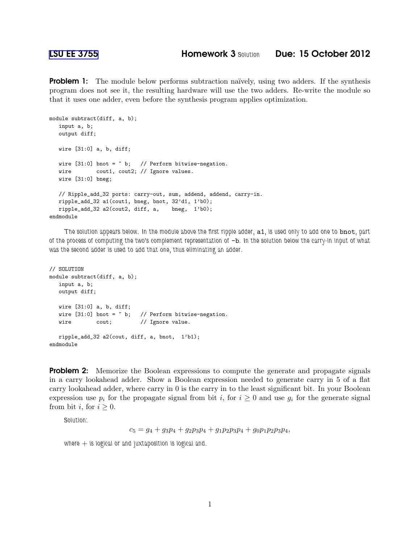**Problem 1:** The module below performs subtraction naïvely, using two adders. If the synthesis program does not see it, the resulting hardware will use the two adders. Re-write the module so that it uses one adder, even before the synthesis program applies optimization.

```
module subtract(diff, a, b);
   input a, b;
  output diff;
  wire [31:0] a, b, diff;
  wire [31:0] bnot = \tilde{b}; // Perform bitwise-negation.
  wire cout1, cout2; // Ignore values.
  wire [31:0] bneg;
  // Ripple_add_32 ports: carry-out, sum, addend, addend, carry-in.
  ripple_add_32 a1(cout1, bneg, bnot, 32'd1, 1'b0);
  ripple_add_32 a2(cout2, diff, a, bneg, 1'b0);
endmodule
```
*The solution appears below. In the module above the first ripple adder,* a1*, is used only to add one to* bnot*, part of the process of computing the two's complement representation of* -b*. In the solution below the carry-in input of what was the second adder is used to add that one, thus eliminating an adder.*

```
// SOLUTION
module subtract(diff, a, b);
  input a, b;
  output diff;
  wire [31:0] a, b, diff;
  wire [31:0] bnot = \tilde{b}; // Perform bitwise-negation.
  wire cout; // Ignore value.
  ripple_add_32 a2(cout, diff, a, bnot, 1'b1);
endmodule
```
**Problem 2:** Memorize the Boolean expressions to compute the generate and propagate signals in a carry lookahead adder. Show a Boolean expression needed to generate carry in 5 of a flat carry lookahead adder, where carry in 0 is the carry in to the least significant bit. In your Boolean expression use  $p_i$  for the propagate signal from bit i, for  $i \geq 0$  and use  $g_i$  for the generate signal from bit *i*, for  $i \geq 0$ .

*Solution:*

 $c_5 = g_4 + g_3p_4 + g_2p_3p_4 + g_1p_2p_3p_4 + g_0p_1p_2p_3p_4,$ 

*where* + *is logical or and juxtaposition is logical and.*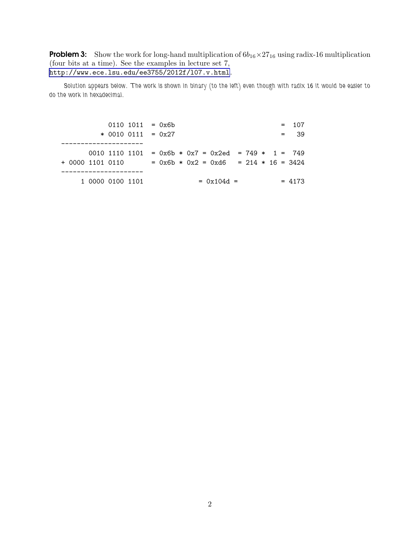**Problem 3:** Show the work for long-hand multiplication of  $6b_{16} \times 27_{16}$  using radix-16 multiplication (four bits at a time). See the examples in lecture set 7, <http://www.ece.lsu.edu/ee3755/2012f/l07.v.html>.

*Solution appears below. The work is shown in binary (to the left) even though with radix 16 it would be easier to do the work in hexadecimal.*

 $0110 1011 = 0x6b = 107$ \* 0010 0111 = 0x27 = 39 --------------------- 0010 1110 1101 = 0x6b \* 0x7 = 0x2ed = 749 \* 1 = 749 + 0000 1101 0110 = 0x6b \* 0x2 = 0xd6 = 214 \* 16 = 3424 ---------------------  $1 0000 0100 1101 = 0x104d = 4173$